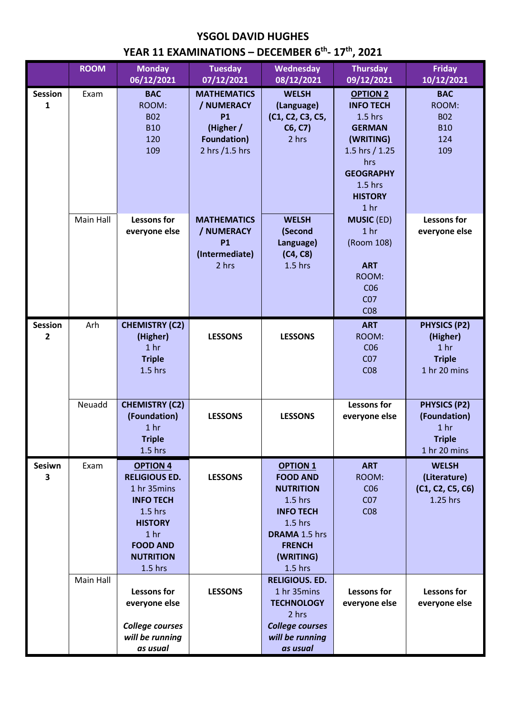## **YSGOL DAVID HUGHES**

## **YEAR 11 EXAMINATIONS – DECEMBER 6th - 17th, 2021**

|                                  | <b>ROOM</b> | <b>Monday</b><br>06/12/2021                                                                                                                                                      | <b>Tuesday</b><br>07/12/2021                                                                       | Wednesday<br>08/12/2021                                                                                                                                                 | <b>Thursday</b><br>09/12/2021                                                                                                                                                 | <b>Friday</b><br>10/12/2021                                                             |
|----------------------------------|-------------|----------------------------------------------------------------------------------------------------------------------------------------------------------------------------------|----------------------------------------------------------------------------------------------------|-------------------------------------------------------------------------------------------------------------------------------------------------------------------------|-------------------------------------------------------------------------------------------------------------------------------------------------------------------------------|-----------------------------------------------------------------------------------------|
| <b>Session</b><br>$\mathbf{1}$   | Exam        | <b>BAC</b><br>ROOM:<br><b>B02</b><br><b>B10</b><br>120<br>109                                                                                                                    | <b>MATHEMATICS</b><br>/ NUMERACY<br><b>P1</b><br>(Higher /<br><b>Foundation)</b><br>2 hrs /1.5 hrs | <b>WELSH</b><br>(Language)<br>(C1, C2, C3, C5,<br>C6, C7)<br>2 hrs                                                                                                      | <b>OPTION 2</b><br><b>INFO TECH</b><br>$1.5$ hrs<br><b>GERMAN</b><br>(WRITING)<br>1.5 hrs / 1.25<br>hrs<br><b>GEOGRAPHY</b><br>$1.5$ hrs<br><b>HISTORY</b><br>1 <sub>hr</sub> | <b>BAC</b><br>ROOM:<br><b>B02</b><br><b>B10</b><br>124<br>109                           |
|                                  | Main Hall   | <b>Lessons for</b><br>everyone else                                                                                                                                              | <b>MATHEMATICS</b><br>/ NUMERACY<br><b>P1</b><br>(Intermediate)<br>2 hrs                           | <b>WELSH</b><br>(Second<br>Language)<br>(C4, C8)<br>$1.5$ hrs                                                                                                           | <b>MUSIC (ED)</b><br>1 <sub>hr</sub><br>(Room 108)<br><b>ART</b><br>ROOM:<br>CO6<br>CO <sub>7</sub><br>CO8                                                                    | <b>Lessons for</b><br>everyone else                                                     |
| <b>Session</b><br>$\overline{2}$ | Arh         | <b>CHEMISTRY (C2)</b><br>(Higher)<br>1 <sub>hr</sub><br><b>Triple</b><br>$1.5$ hrs                                                                                               | <b>LESSONS</b>                                                                                     | <b>LESSONS</b>                                                                                                                                                          | <b>ART</b><br>ROOM:<br>CO6<br>CO <sub>7</sub><br>CO8                                                                                                                          | <b>PHYSICS (P2)</b><br>(Higher)<br>1 <sub>hr</sub><br><b>Triple</b><br>1 hr 20 mins     |
|                                  | Neuadd      | <b>CHEMISTRY (C2)</b><br>(Foundation)<br>1 <sub>hr</sub><br><b>Triple</b><br>$1.5$ hrs                                                                                           | <b>LESSONS</b>                                                                                     | <b>LESSONS</b>                                                                                                                                                          | <b>Lessons for</b><br>everyone else                                                                                                                                           | <b>PHYSICS (P2)</b><br>(Foundation)<br>1 <sub>hr</sub><br><b>Triple</b><br>1 hr 20 mins |
| <b>Sesiwn</b><br>3               | Exam        | <b>OPTION 4</b><br><b>RELIGIOUS ED.</b><br>1 hr 35mins<br><b>INFO TECH</b><br>$1.5$ hrs<br><b>HISTORY</b><br>1 <sub>hr</sub><br><b>FOOD AND</b><br><b>NUTRITION</b><br>$1.5$ hrs | <b>LESSONS</b>                                                                                     | <b>OPTION 1</b><br><b>FOOD AND</b><br><b>NUTRITION</b><br>$1.5$ hrs<br><b>INFO TECH</b><br>$1.5$ hrs<br><b>DRAMA 1.5 hrs</b><br><b>FRENCH</b><br>(WRITING)<br>$1.5$ hrs | <b>ART</b><br>ROOM:<br>CO6<br>CO <sub>7</sub><br>CO8                                                                                                                          | <b>WELSH</b><br>(Literature)<br>(C1, C2, C5, C6)<br>1.25 hrs                            |
|                                  | Main Hall   | <b>Lessons for</b><br>everyone else<br><b>College courses</b><br>will be running<br>as usual                                                                                     | <b>LESSONS</b>                                                                                     | <b>RELIGIOUS. ED.</b><br>1 hr 35mins<br><b>TECHNOLOGY</b><br>2 hrs<br><b>College courses</b><br>will be running<br>as usual                                             | <b>Lessons for</b><br>everyone else                                                                                                                                           | <b>Lessons for</b><br>everyone else                                                     |